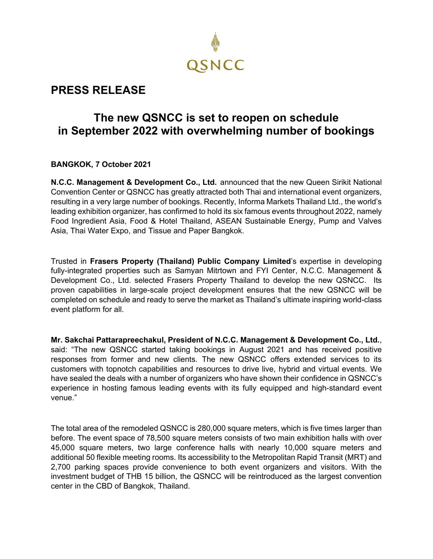

## **PRESS RELEASE**

## **The new QSNCC is set to reopen on schedule in September 2022 with overwhelming number of bookings**

**BANGKOK, 7 October 2021**

**N.C.C. Management & Development Co., Ltd.** announced that the new Queen Sirikit National Convention Center or QSNCC has greatly attracted both Thai and international event organizers, resulting in a very large number of bookings. Recently, Informa Markets Thailand Ltd., the world's leading exhibition organizer, has confirmed to hold its six famous events throughout 2022, namely Food Ingredient Asia, Food & Hotel Thailand, ASEAN Sustainable Energy, Pump and Valves Asia, Thai Water Expo, and Tissue and Paper Bangkok.

Trusted in **Frasers Property (Thailand) Public Company Limited**'s expertise in developing fully-integrated properties such as Samyan Mitrtown and FYI Center, N.C.C. Management & Development Co., Ltd. selected Frasers Property Thailand to develop the new QSNCC. Its proven capabilities in large-scale project development ensures that the new QSNCC will be completed on schedule and ready to serve the market as Thailand's ultimate inspiring world-class event platform for all.

**Mr. Sakchai Pattarapreechakul, President of N.C.C. Management & Development Co., Ltd.**, said: "The new QSNCC started taking bookings in August 2021 and has received positive responses from former and new clients. The new QSNCC offers extended services to its customers with topnotch capabilities and resources to drive live, hybrid and virtual events. We have sealed the deals with a number of organizers who have shown their confidence in QSNCC's experience in hosting famous leading events with its fully equipped and high-standard event venue."

The total area of the remodeled QSNCC is 280,000 square meters, which is five times larger than before. The event space of 78,500 square meters consists of two main exhibition halls with over 45,000 square meters, two large conference halls with nearly 10,000 square meters and additional 50 flexible meeting rooms. Its accessibility to the Metropolitan Rapid Transit (MRT) and 2,700 parking spaces provide convenience to both event organizers and visitors. With the investment budget of THB 15 billion, the QSNCC will be reintroduced as the largest convention center in the CBD of Bangkok, Thailand.